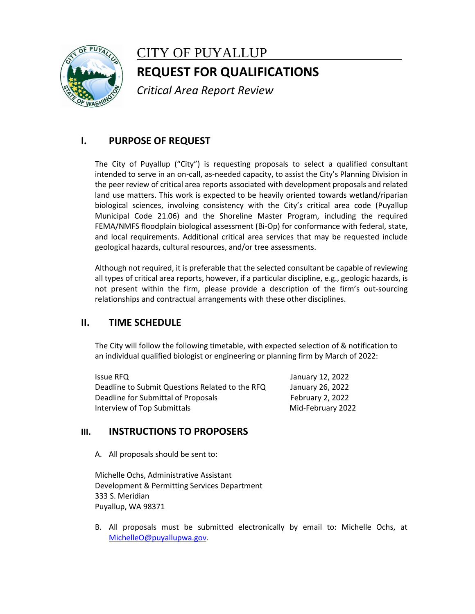

# CITY OF PUYALLUP **REQUEST FOR QUALIFICATIONS**

*Critical Area Report Review*

## **I. PURPOSE OF REQUEST**

The City of Puyallup ("City") is requesting proposals to select a qualified consultant intended to serve in an on-call, as-needed capacity, to assist the City's Planning Division in the peer review of critical area reports associated with development proposals and related land use matters. This work is expected to be heavily oriented towards wetland/riparian biological sciences, involving consistency with the City's critical area code (Puyallup Municipal Code 21.06) and the Shoreline Master Program, including the required FEMA/NMFS floodplain biological assessment (Bi-Op) for conformance with federal, state, and local requirements. Additional critical area services that may be requested include geological hazards, cultural resources, and/or tree assessments.

Although not required, it is preferable that the selected consultant be capable of reviewing all types of critical area reports, however, if a particular discipline, e.g., geologic hazards, is not present within the firm, please provide a description of the firm's out-sourcing relationships and contractual arrangements with these other disciplines.

## **II. TIME SCHEDULE**

The City will follow the following timetable, with expected selection of & notification to an individual qualified biologist or engineering or planning firm by March of 2022:

| <b>Issue RFQ</b>                                | January 12, 2022  |
|-------------------------------------------------|-------------------|
| Deadline to Submit Questions Related to the RFQ | January 26, 2022  |
| Deadline for Submittal of Proposals             | February 2, 2022  |
| Interview of Top Submittals                     | Mid-February 2022 |

## **III. INSTRUCTIONS TO PROPOSERS**

A. All proposals should be sent to:

Michelle Ochs, Administrative Assistant Development & Permitting Services Department 333 S. Meridian Puyallup, WA 98371

B. All proposals must be submitted electronically by email to: Michelle Ochs, at [MichelleO@puyallupwa.gov.](mailto:MichelleO@puyallupwa.gov)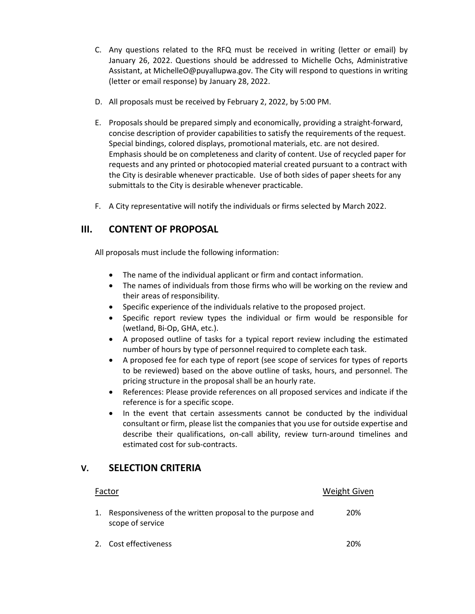- C. Any questions related to the RFQ must be received in writing (letter or email) by January 26, 2022. Questions should be addressed to Michelle Ochs, Administrative Assistant, at MichelleO@puyallupwa.gov. The City will respond to questions in writing (letter or email response) by January 28, 2022.
- D. All proposals must be received by February 2, 2022, by 5:00 PM.
- E. Proposals should be prepared simply and economically, providing a straight-forward, concise description of provider capabilities to satisfy the requirements of the request. Special bindings, colored displays, promotional materials, etc. are not desired. Emphasis should be on completeness and clarity of content. Use of recycled paper for requests and any printed or photocopied material created pursuant to a contract with the City is desirable whenever practicable. Use of both sides of paper sheets for any submittals to the City is desirable whenever practicable.
- F. A City representative will notify the individuals or firms selected by March 2022.

#### **III. CONTENT OF PROPOSAL**

All proposals must include the following information:

- The name of the individual applicant or firm and contact information.
- The names of individuals from those firms who will be working on the review and their areas of responsibility.
- Specific experience of the individuals relative to the proposed project.
- Specific report review types the individual or firm would be responsible for (wetland, Bi-Op, GHA, etc.).
- A proposed outline of tasks for a typical report review including the estimated number of hours by type of personnel required to complete each task.
- A proposed fee for each type of report (see scope of services for types of reports to be reviewed) based on the above outline of tasks, hours, and personnel. The pricing structure in the proposal shall be an hourly rate.
- References: Please provide references on all proposed services and indicate if the reference is for a specific scope.
- In the event that certain assessments cannot be conducted by the individual consultant or firm, please list the companies that you use for outside expertise and describe their qualifications, on-call ability, review turn-around timelines and estimated cost for sub-contracts.

#### **V. SELECTION CRITERIA**

| Factor |                                                                               | <b>Weight Given</b> |  |
|--------|-------------------------------------------------------------------------------|---------------------|--|
|        | Responsiveness of the written proposal to the purpose and<br>scope of service | 20%                 |  |
|        | 2. Cost effectiveness                                                         | 20%                 |  |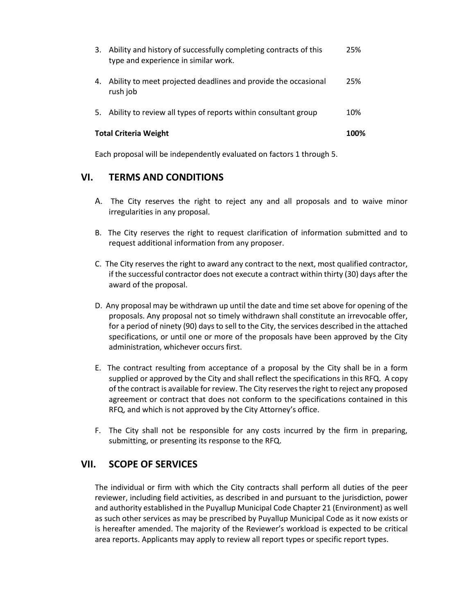| 3.                           | Ability and history of successfully completing contracts of this<br>type and experience in similar work. | 25%  |
|------------------------------|----------------------------------------------------------------------------------------------------------|------|
| 4.                           | Ability to meet projected deadlines and provide the occasional<br>rush job                               | 25%  |
| 5.                           | Ability to review all types of reports within consultant group                                           | 10%  |
| <b>Total Criteria Weight</b> |                                                                                                          | 100% |

Each proposal will be independently evaluated on factors 1 through 5.

### **VI. TERMS AND CONDITIONS**

- A. The City reserves the right to reject any and all proposals and to waive minor irregularities in any proposal.
- B. The City reserves the right to request clarification of information submitted and to request additional information from any proposer.
- C. The City reserves the right to award any contract to the next, most qualified contractor, if the successful contractor does not execute a contract within thirty (30) days after the award of the proposal.
- D. Any proposal may be withdrawn up until the date and time set above for opening of the proposals. Any proposal not so timely withdrawn shall constitute an irrevocable offer, for a period of ninety (90) days to sell to the City, the services described in the attached specifications, or until one or more of the proposals have been approved by the City administration, whichever occurs first.
- E. The contract resulting from acceptance of a proposal by the City shall be in a form supplied or approved by the City and shall reflect the specifications in this RFQ. A copy of the contract is available for review. The City reserves the right to reject any proposed agreement or contract that does not conform to the specifications contained in this RFQ, and which is not approved by the City Attorney's office.
- F. The City shall not be responsible for any costs incurred by the firm in preparing, submitting, or presenting its response to the RFQ.

#### **VII. SCOPE OF SERVICES**

The individual or firm with which the City contracts shall perform all duties of the peer reviewer, including field activities, as described in and pursuant to the jurisdiction, power and authority established in the Puyallup Municipal Code Chapter 21 (Environment) as well as such other services as may be prescribed by Puyallup Municipal Code as it now exists or is hereafter amended. The majority of the Reviewer's workload is expected to be critical area reports. Applicants may apply to review all report types or specific report types.